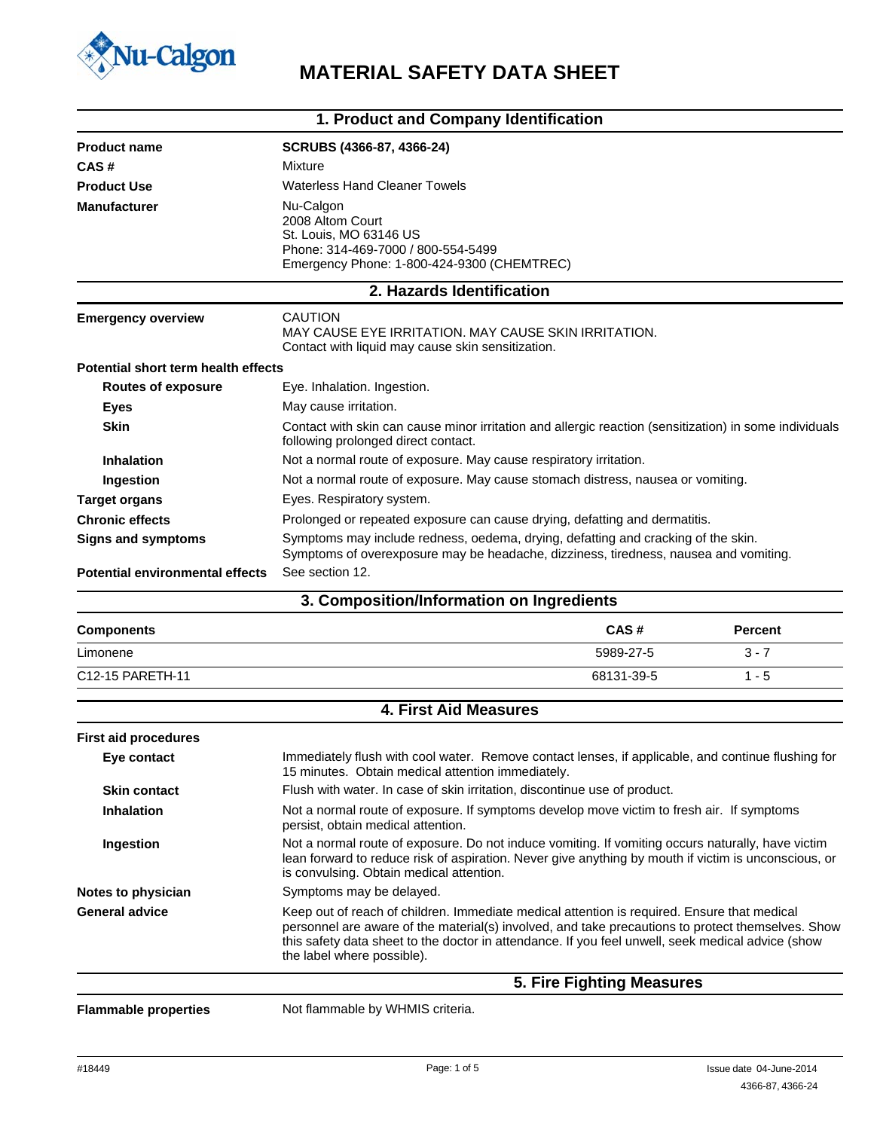

# **WU-Calgon**<br>MATERIAL SAFETY DATA SHEET

|                                        | 1. Product and Company Identification                                                                                                                                                                                                                 |                           |                |
|----------------------------------------|-------------------------------------------------------------------------------------------------------------------------------------------------------------------------------------------------------------------------------------------------------|---------------------------|----------------|
| <b>Product name</b>                    | SCRUBS (4366-87, 4366-24)                                                                                                                                                                                                                             |                           |                |
| CAS#                                   | Mixture                                                                                                                                                                                                                                               |                           |                |
| <b>Product Use</b>                     | <b>Waterless Hand Cleaner Towels</b>                                                                                                                                                                                                                  |                           |                |
| <b>Manufacturer</b>                    | Nu-Calgon<br>2008 Altom Court<br>St. Louis, MO 63146 US<br>Phone: 314-469-7000 / 800-554-5499<br>Emergency Phone: 1-800-424-9300 (CHEMTREC)                                                                                                           |                           |                |
|                                        | 2. Hazards Identification                                                                                                                                                                                                                             |                           |                |
| <b>Emergency overview</b>              | <b>CAUTION</b><br>MAY CAUSE EYE IRRITATION. MAY CAUSE SKIN IRRITATION.<br>Contact with liquid may cause skin sensitization.                                                                                                                           |                           |                |
| Potential short term health effects    |                                                                                                                                                                                                                                                       |                           |                |
| <b>Routes of exposure</b>              | Eye. Inhalation. Ingestion.                                                                                                                                                                                                                           |                           |                |
| <b>Eyes</b>                            | May cause irritation.                                                                                                                                                                                                                                 |                           |                |
| <b>Skin</b>                            | Contact with skin can cause minor irritation and allergic reaction (sensitization) in some individuals<br>following prolonged direct contact.                                                                                                         |                           |                |
| <b>Inhalation</b>                      | Not a normal route of exposure. May cause respiratory irritation.                                                                                                                                                                                     |                           |                |
| Ingestion                              | Not a normal route of exposure. May cause stomach distress, nausea or vomiting.                                                                                                                                                                       |                           |                |
| <b>Target organs</b>                   | Eyes. Respiratory system.                                                                                                                                                                                                                             |                           |                |
| <b>Chronic effects</b>                 | Prolonged or repeated exposure can cause drying, defatting and dermatitis.                                                                                                                                                                            |                           |                |
| <b>Signs and symptoms</b>              | Symptoms may include redness, oedema, drying, defatting and cracking of the skin.<br>Symptoms of overexposure may be headache, dizziness, tiredness, nausea and vomiting.                                                                             |                           |                |
| <b>Potential environmental effects</b> | See section 12.                                                                                                                                                                                                                                       |                           |                |
|                                        | 3. Composition/Information on Ingredients                                                                                                                                                                                                             |                           |                |
| <b>Components</b>                      |                                                                                                                                                                                                                                                       | CAS#                      | <b>Percent</b> |
| Limonene                               |                                                                                                                                                                                                                                                       | 5989-27-5                 | $3 - 7$        |
| C12-15 PARETH-11                       |                                                                                                                                                                                                                                                       | 68131-39-5                | $1 - 5$        |
|                                        | <b>4. First Aid Measures</b>                                                                                                                                                                                                                          |                           |                |
| <b>First aid procedures</b>            |                                                                                                                                                                                                                                                       |                           |                |
| Eye contact                            | Immediately flush with cool water. Remove contact lenses, if applicable, and continue flushing for<br>15 minutes. Obtain medical attention immediately.                                                                                               |                           |                |
| <b>Skin contact</b>                    | Flush with water. In case of skin irritation, discontinue use of product.                                                                                                                                                                             |                           |                |
| <b>Inhalation</b>                      | Not a normal route of exposure. If symptoms develop move victim to fresh air. If symptoms<br>persist, obtain medical attention.                                                                                                                       |                           |                |
| Ingestion                              | Not a normal route of exposure. Do not induce vomiting. If vomiting occurs naturally, have victim<br>lean forward to reduce risk of aspiration. Never give anything by mouth if victim is unconscious, or<br>is convulsing. Obtain medical attention. |                           |                |
| Notes to physician                     | Symptoms may be delayed.                                                                                                                                                                                                                              |                           |                |
| <b>General advice</b>                  | Keep out of reach of children. Immediate medical attention is required. Ensure that medical                                                                                                                                                           |                           |                |
|                                        | personnel are aware of the material(s) involved, and take precautions to protect themselves. Show<br>this safety data sheet to the doctor in attendance. If you feel unwell, seek medical advice (show<br>the label where possible).                  |                           |                |
|                                        |                                                                                                                                                                                                                                                       | 5. Fire Fighting Measures |                |

Flammable properties Not flammable by WHMIS criteria.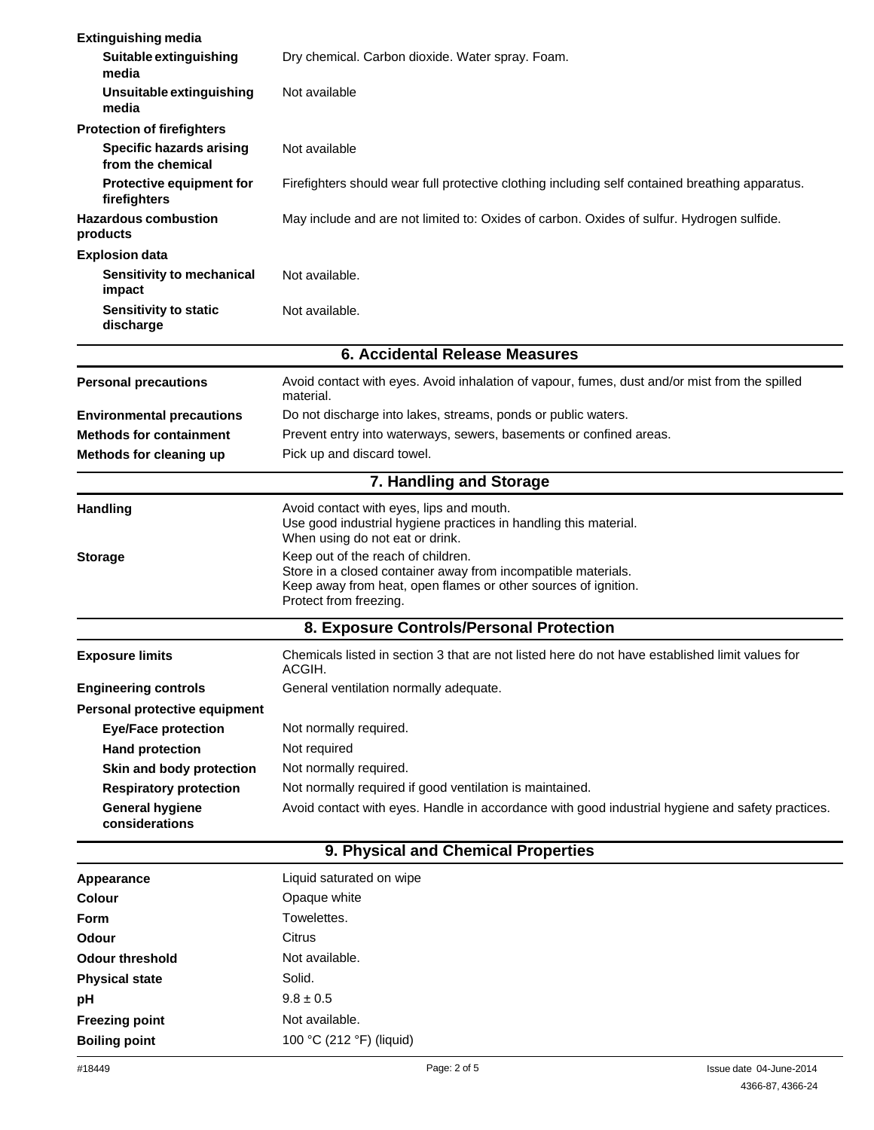| <b>Extinguishing media</b>                           |                                                                                                                                                                                                 |                         |  |
|------------------------------------------------------|-------------------------------------------------------------------------------------------------------------------------------------------------------------------------------------------------|-------------------------|--|
| Suitable extinguishing                               | Dry chemical. Carbon dioxide. Water spray. Foam.                                                                                                                                                |                         |  |
| media<br>Unsuitable extinguishing<br>media           | Not available                                                                                                                                                                                   |                         |  |
| <b>Protection of firefighters</b>                    |                                                                                                                                                                                                 |                         |  |
| <b>Specific hazards arising</b><br>from the chemical | Not available                                                                                                                                                                                   |                         |  |
| Protective equipment for<br>firefighters             | Firefighters should wear full protective clothing including self contained breathing apparatus.                                                                                                 |                         |  |
| <b>Hazardous combustion</b><br>products              | May include and are not limited to: Oxides of carbon. Oxides of sulfur. Hydrogen sulfide.                                                                                                       |                         |  |
| <b>Explosion data</b>                                |                                                                                                                                                                                                 |                         |  |
| Sensitivity to mechanical<br>impact                  | Not available.                                                                                                                                                                                  |                         |  |
| <b>Sensitivity to static</b><br>discharge            | Not available.                                                                                                                                                                                  |                         |  |
|                                                      | <b>6. Accidental Release Measures</b>                                                                                                                                                           |                         |  |
| <b>Personal precautions</b>                          | Avoid contact with eyes. Avoid inhalation of vapour, fumes, dust and/or mist from the spilled<br>material.                                                                                      |                         |  |
| <b>Environmental precautions</b>                     | Do not discharge into lakes, streams, ponds or public waters.                                                                                                                                   |                         |  |
| <b>Methods for containment</b>                       | Prevent entry into waterways, sewers, basements or confined areas.                                                                                                                              |                         |  |
| Methods for cleaning up                              | Pick up and discard towel.                                                                                                                                                                      |                         |  |
|                                                      | 7. Handling and Storage                                                                                                                                                                         |                         |  |
| <b>Handling</b>                                      | Avoid contact with eyes, lips and mouth.<br>Use good industrial hygiene practices in handling this material.                                                                                    |                         |  |
|                                                      | When using do not eat or drink.                                                                                                                                                                 |                         |  |
| <b>Storage</b>                                       | Keep out of the reach of children.<br>Store in a closed container away from incompatible materials.<br>Keep away from heat, open flames or other sources of ignition.<br>Protect from freezing. |                         |  |
|                                                      | 8. Exposure Controls/Personal Protection                                                                                                                                                        |                         |  |
| <b>Exposure limits</b>                               | Chemicals listed in section 3 that are not listed here do not have established limit values for<br>ACGIH.                                                                                       |                         |  |
| <b>Engineering controls</b>                          | General ventilation normally adequate.                                                                                                                                                          |                         |  |
| Personal protective equipment                        |                                                                                                                                                                                                 |                         |  |
| <b>Eye/Face protection</b>                           | Not normally required.                                                                                                                                                                          |                         |  |
| <b>Hand protection</b>                               | Not required                                                                                                                                                                                    |                         |  |
| Skin and body protection                             | Not normally required.                                                                                                                                                                          |                         |  |
| <b>Respiratory protection</b>                        | Not normally required if good ventilation is maintained.                                                                                                                                        |                         |  |
| <b>General hygiene</b><br>considerations             | Avoid contact with eyes. Handle in accordance with good industrial hygiene and safety practices.                                                                                                |                         |  |
|                                                      | 9. Physical and Chemical Properties                                                                                                                                                             |                         |  |
| <b>Appearance</b>                                    | Liquid saturated on wipe                                                                                                                                                                        |                         |  |
| <b>Colour</b>                                        | Opaque white                                                                                                                                                                                    |                         |  |
| Form                                                 | Towelettes.                                                                                                                                                                                     |                         |  |
| <b>Odour</b>                                         | Citrus                                                                                                                                                                                          |                         |  |
| <b>Odour threshold</b>                               | Not available.                                                                                                                                                                                  |                         |  |
| <b>Physical state</b>                                | Solid.                                                                                                                                                                                          |                         |  |
| pH                                                   | $9.8 \pm 0.5$                                                                                                                                                                                   |                         |  |
| <b>Freezing point</b>                                | Not available.                                                                                                                                                                                  |                         |  |
| <b>Boiling point</b>                                 | 100 °C (212 °F) (liquid)                                                                                                                                                                        |                         |  |
| #18449                                               | Page: 2 of 5                                                                                                                                                                                    | Issue date 04-June-2014 |  |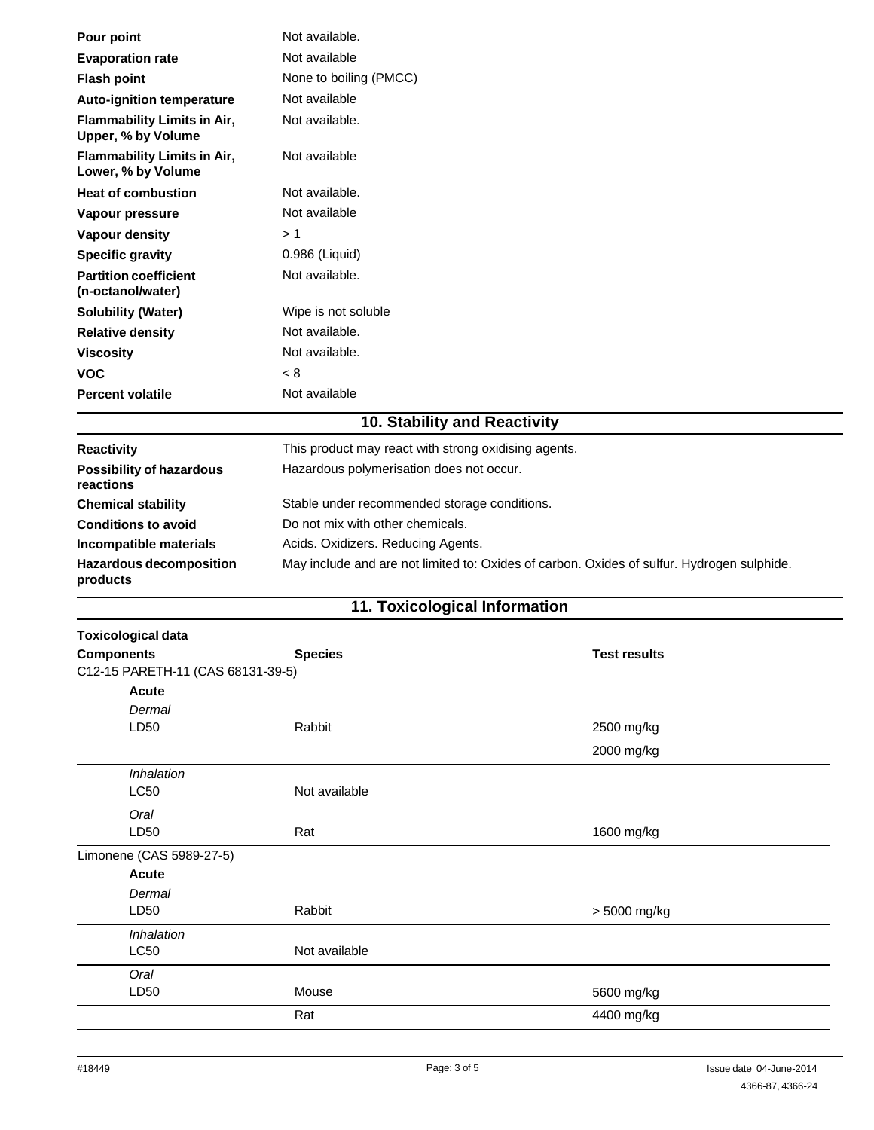| Pour point                                               | Not available.         |  |  |
|----------------------------------------------------------|------------------------|--|--|
| <b>Evaporation rate</b>                                  | Not available          |  |  |
| <b>Flash point</b>                                       | None to boiling (PMCC) |  |  |
| <b>Auto-ignition temperature</b>                         | Not available          |  |  |
| <b>Flammability Limits in Air,</b><br>Upper, % by Volume | Not available.         |  |  |
| Flammability Limits in Air,<br>Lower, % by Volume        | Not available          |  |  |
| <b>Heat of combustion</b>                                | Not available.         |  |  |
| Vapour pressure                                          | Not available          |  |  |
| <b>Vapour density</b>                                    | >1                     |  |  |
| <b>Specific gravity</b>                                  | 0.986 (Liquid)         |  |  |
| <b>Partition coefficient</b><br>(n-octanol/water)        | Not available.         |  |  |
| <b>Solubility (Water)</b>                                | Wipe is not soluble    |  |  |
| <b>Relative density</b>                                  | Not available.         |  |  |
| <b>Viscosity</b>                                         | Not available.         |  |  |
| <b>VOC</b>                                               | < 8                    |  |  |
| <b>Percent volatile</b>                                  | Not available          |  |  |

# **10. Stability and Reactivity**

| <b>Reactivity</b><br><b>Possibility of hazardous</b><br>reactions | This product may react with strong oxidising agents.<br>Hazardous polymerisation does not occur. |
|-------------------------------------------------------------------|--------------------------------------------------------------------------------------------------|
| <b>Chemical stability</b>                                         | Stable under recommended storage conditions.                                                     |
| <b>Conditions to avoid</b>                                        | Do not mix with other chemicals.                                                                 |
| Incompatible materials                                            | Acids. Oxidizers. Reducing Agents.                                                               |
| <b>Hazardous decomposition</b><br>products                        | May include and are not limited to: Oxides of carbon. Oxides of sulfur. Hydrogen sulphide.       |

### **11. Toxicological Information**

| <b>Toxicological data</b>         |                |                     |
|-----------------------------------|----------------|---------------------|
| <b>Components</b>                 | <b>Species</b> | <b>Test results</b> |
| C12-15 PARETH-11 (CAS 68131-39-5) |                |                     |
| <b>Acute</b>                      |                |                     |
| Dermal                            |                |                     |
| LD50                              | Rabbit         | 2500 mg/kg          |
|                                   |                | 2000 mg/kg          |
| Inhalation                        |                |                     |
| LC50                              | Not available  |                     |
| Oral                              |                |                     |
| LD50                              | Rat            | 1600 mg/kg          |
| Limonene (CAS 5989-27-5)          |                |                     |
| <b>Acute</b>                      |                |                     |
| Dermal                            |                |                     |
| LD50                              | Rabbit         | > 5000 mg/kg        |
| Inhalation                        |                |                     |
| <b>LC50</b>                       | Not available  |                     |
| Oral                              |                |                     |
| LD50                              | Mouse          | 5600 mg/kg          |
|                                   | Rat            | 4400 mg/kg          |
|                                   |                |                     |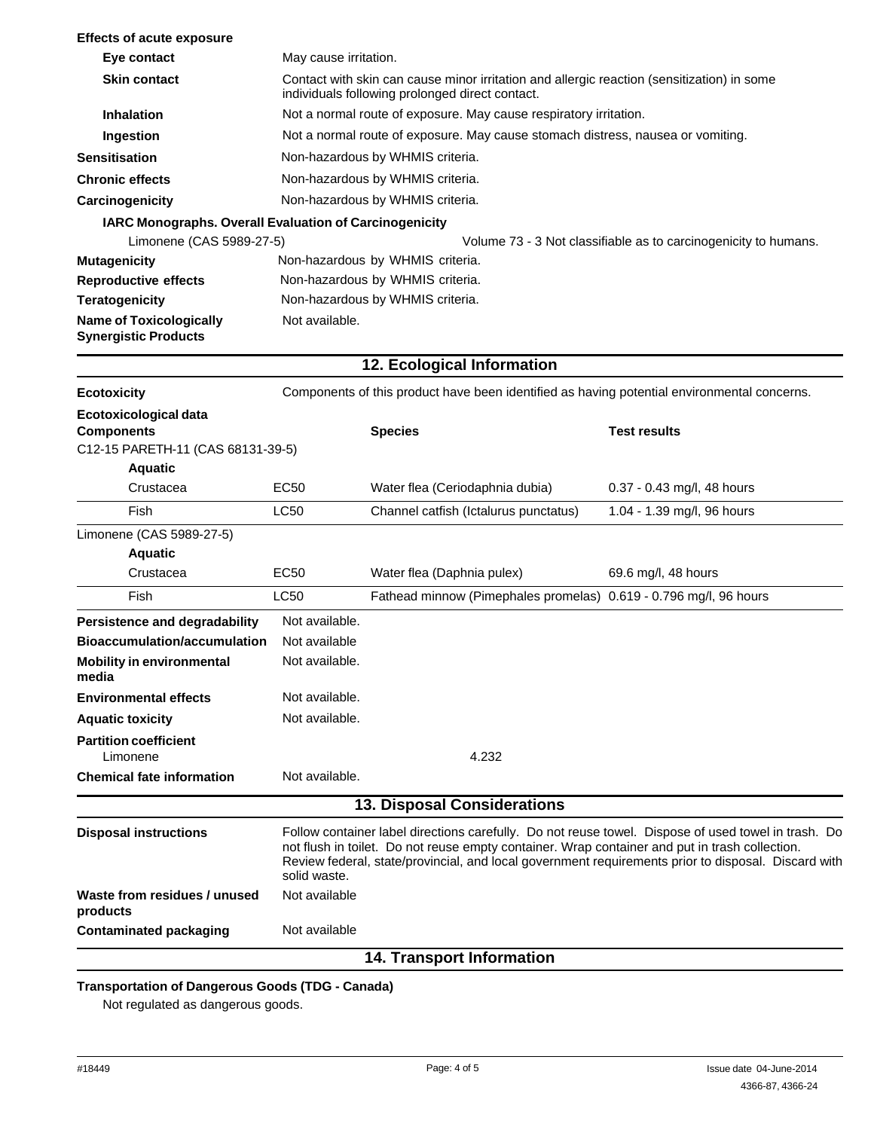| <b>Effects of acute exposure</b>                              |                                                                                                                                                                                                                                                                                                                              |                                                                                             |                                                                 |  |
|---------------------------------------------------------------|------------------------------------------------------------------------------------------------------------------------------------------------------------------------------------------------------------------------------------------------------------------------------------------------------------------------------|---------------------------------------------------------------------------------------------|-----------------------------------------------------------------|--|
| Eye contact                                                   | May cause irritation.                                                                                                                                                                                                                                                                                                        |                                                                                             |                                                                 |  |
| <b>Skin contact</b>                                           | Contact with skin can cause minor irritation and allergic reaction (sensitization) in some<br>individuals following prolonged direct contact.                                                                                                                                                                                |                                                                                             |                                                                 |  |
| <b>Inhalation</b>                                             |                                                                                                                                                                                                                                                                                                                              | Not a normal route of exposure. May cause respiratory irritation.                           |                                                                 |  |
| Ingestion                                                     |                                                                                                                                                                                                                                                                                                                              | Not a normal route of exposure. May cause stomach distress, nausea or vomiting.             |                                                                 |  |
| <b>Sensitisation</b>                                          |                                                                                                                                                                                                                                                                                                                              | Non-hazardous by WHMIS criteria.                                                            |                                                                 |  |
| <b>Chronic effects</b>                                        |                                                                                                                                                                                                                                                                                                                              | Non-hazardous by WHMIS criteria.                                                            |                                                                 |  |
| Carcinogenicity                                               |                                                                                                                                                                                                                                                                                                                              | Non-hazardous by WHMIS criteria.                                                            |                                                                 |  |
| IARC Monographs. Overall Evaluation of Carcinogenicity        |                                                                                                                                                                                                                                                                                                                              |                                                                                             |                                                                 |  |
| Limonene (CAS 5989-27-5)                                      |                                                                                                                                                                                                                                                                                                                              |                                                                                             | Volume 73 - 3 Not classifiable as to carcinogenicity to humans. |  |
| <b>Mutagenicity</b>                                           | Non-hazardous by WHMIS criteria.                                                                                                                                                                                                                                                                                             |                                                                                             |                                                                 |  |
| <b>Reproductive effects</b>                                   |                                                                                                                                                                                                                                                                                                                              | Non-hazardous by WHMIS criteria.                                                            |                                                                 |  |
| <b>Teratogenicity</b>                                         |                                                                                                                                                                                                                                                                                                                              | Non-hazardous by WHMIS criteria.                                                            |                                                                 |  |
| <b>Name of Toxicologically</b><br><b>Synergistic Products</b> | Not available.                                                                                                                                                                                                                                                                                                               |                                                                                             |                                                                 |  |
|                                                               |                                                                                                                                                                                                                                                                                                                              | 12. Ecological Information                                                                  |                                                                 |  |
| <b>Ecotoxicity</b>                                            |                                                                                                                                                                                                                                                                                                                              | Components of this product have been identified as having potential environmental concerns. |                                                                 |  |
| Ecotoxicological data                                         |                                                                                                                                                                                                                                                                                                                              |                                                                                             |                                                                 |  |
| <b>Components</b>                                             |                                                                                                                                                                                                                                                                                                                              | <b>Species</b>                                                                              | <b>Test results</b>                                             |  |
| C12-15 PARETH-11 (CAS 68131-39-5)                             |                                                                                                                                                                                                                                                                                                                              |                                                                                             |                                                                 |  |
| <b>Aquatic</b>                                                |                                                                                                                                                                                                                                                                                                                              |                                                                                             |                                                                 |  |
| Crustacea                                                     | <b>EC50</b>                                                                                                                                                                                                                                                                                                                  | Water flea (Ceriodaphnia dubia)                                                             | 0.37 - 0.43 mg/l, 48 hours                                      |  |
| Fish                                                          | <b>LC50</b>                                                                                                                                                                                                                                                                                                                  | Channel catfish (Ictalurus punctatus)                                                       | 1.04 - 1.39 mg/l, 96 hours                                      |  |
| Limonene (CAS 5989-27-5)                                      |                                                                                                                                                                                                                                                                                                                              |                                                                                             |                                                                 |  |
| <b>Aquatic</b>                                                |                                                                                                                                                                                                                                                                                                                              |                                                                                             |                                                                 |  |
| Crustacea                                                     | <b>EC50</b>                                                                                                                                                                                                                                                                                                                  | Water flea (Daphnia pulex)                                                                  | 69.6 mg/l, 48 hours                                             |  |
| Fish                                                          | <b>LC50</b>                                                                                                                                                                                                                                                                                                                  | Fathead minnow (Pimephales promelas) 0.619 - 0.796 mg/l, 96 hours                           |                                                                 |  |
| Persistence and degradability                                 | Not available.                                                                                                                                                                                                                                                                                                               |                                                                                             |                                                                 |  |
| <b>Bioaccumulation/accumulation</b>                           | Not available                                                                                                                                                                                                                                                                                                                |                                                                                             |                                                                 |  |
| <b>Mobility in environmental</b><br>media                     | Not available.                                                                                                                                                                                                                                                                                                               |                                                                                             |                                                                 |  |
| <b>Environmental effects</b>                                  | Not available.                                                                                                                                                                                                                                                                                                               |                                                                                             |                                                                 |  |
| <b>Aquatic toxicity</b>                                       | Not available.                                                                                                                                                                                                                                                                                                               |                                                                                             |                                                                 |  |
| <b>Partition coefficient</b><br>Limonene                      |                                                                                                                                                                                                                                                                                                                              | 4.232                                                                                       |                                                                 |  |
| <b>Chemical fate information</b>                              | Not available.                                                                                                                                                                                                                                                                                                               |                                                                                             |                                                                 |  |
|                                                               |                                                                                                                                                                                                                                                                                                                              | 13. Disposal Considerations                                                                 |                                                                 |  |
| <b>Disposal instructions</b>                                  | Follow container label directions carefully. Do not reuse towel. Dispose of used towel in trash. Do<br>not flush in toilet. Do not reuse empty container. Wrap container and put in trash collection.<br>Review federal, state/provincial, and local government requirements prior to disposal. Discard with<br>solid waste. |                                                                                             |                                                                 |  |
| Waste from residues / unused<br>products                      | Not available                                                                                                                                                                                                                                                                                                                |                                                                                             |                                                                 |  |
| <b>Contaminated packaging</b>                                 | Not available                                                                                                                                                                                                                                                                                                                |                                                                                             |                                                                 |  |
|                                                               |                                                                                                                                                                                                                                                                                                                              | <b>14. Transport Information</b>                                                            |                                                                 |  |

# **Transportation of Dangerous Goods (TDG - Canada)**

Not regulated as dangerous goods.